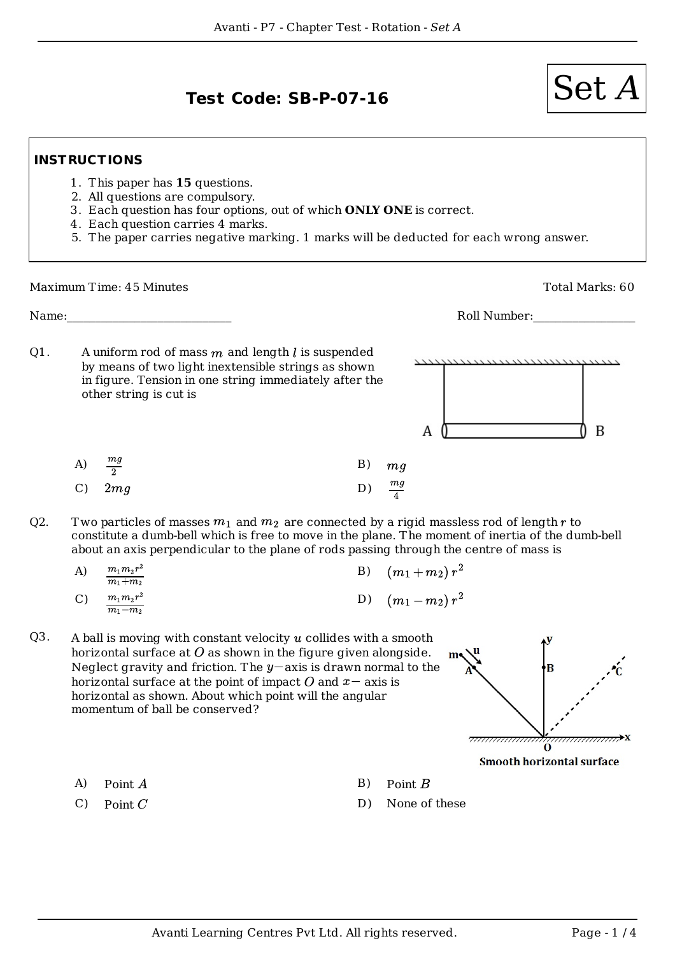## $Test Code: SB-P-07-16$   $\qquad \qquad$   $\qquad \qquad$   $\qquad \qquad$

## **INSTRUCTIONS**

- 1. This paper has **15** questions.
- 2. All questions are compulsory.
- 3. Each question has four options, out of which **ONLY ONE** is correct.
- 4. Each question carries 4 marks.
- 5. The paper carries negative marking. 1 marks will be deducted for each wrong answer.

Maximum Time: 45 Minutes **Total Marks: 60** 

Name:  $\blacksquare$ 

A uniform rod of mass  $m$  and length  $l$  is suspended by means of two light inextensible strings as shown in figure. Tension in one string immediately after the other string is cut is Q1.



Two particles of masses  $m_1$  and  $m_2$  are connected by a rigid massless rod of length r to constitute a dumb-bell which is free to move in the plane. The moment of inertia of the dumb-bell about an axis perpendicular to the plane of rods passing through the centre of mass is Q2.

| A)              | $m_1m_2r^2$<br>$m_1 + m_2$ | B) $(m_1+m_2)r^2$    |
|-----------------|----------------------------|----------------------|
| $\mathcal{C}$ ) | $m_1m_2r^2$<br>$m_1 - m_2$ | D) $(m_1 - m_2) r^2$ |

A ball is moving with constant velocity  $u$  collides with a smooth horizontal surface at  $\hat{O}$  as shown in the figure given alongside. Neglect gravity and friction. The  $y$ -axis is drawn normal to the horizontal surface at the point of impact O and  $x-$  axis is horizontal as shown. About which point will the angular momentum of ball be conserved? Q3.



- A) Point  $A$  B) Point  $B$
- 
- 
- $(C)$  Point  $C$  D) None of these



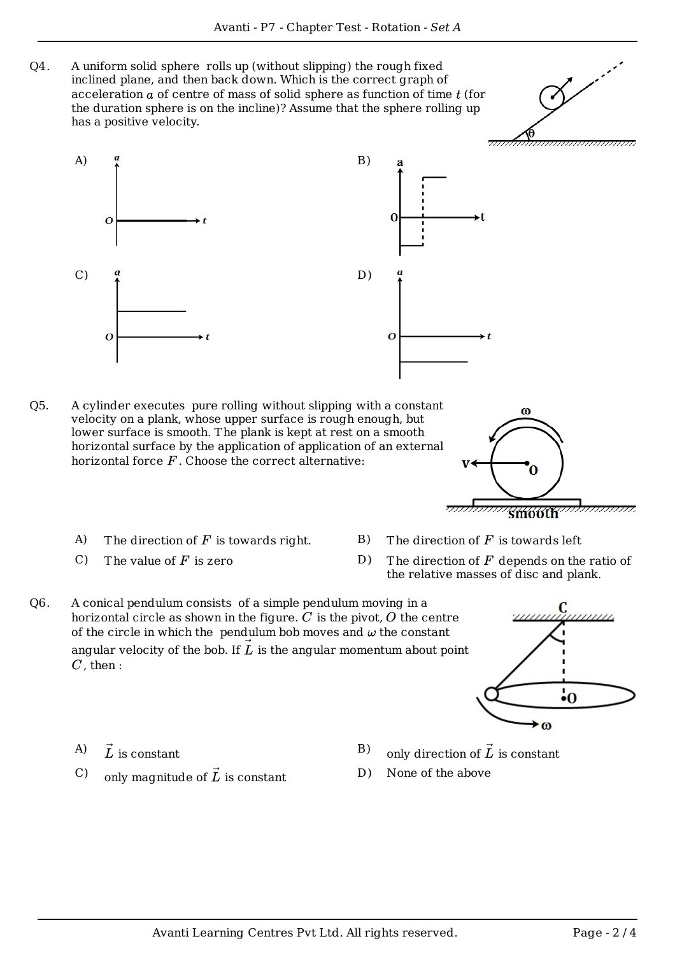A uniform solid sphere rolls up (without slipping) the rough fixed inclined plane, and then back down. Which is the correct graph of acceleration  $a$  of centre of mass of solid sphere as function of time  $t$  (for the duration sphere is on the incline)? Assume that the sphere rolling up has a positive velocity. Q4.



- A cylinder executes pure rolling without slipping with a constant velocity on a plank, whose upper surface is rough enough, but lower surface is smooth. The plank is kept at rest on a smooth horizontal surface by the application of application of an external horizontal force  $F$ . Choose the correct alternative:  $O<sub>5</sub>$ .
	- A) The direction of F is towards right. B) The direction of F is towards left
	-
- 
- C) The value of  $F$  is zero D) The direction of  $F$  depends on the ratio of the relative masses of disc and plank.

 $\omega$ 

A conical pendulum consists of a simple pendulum moving in a horizontal circle as shown in the figure.  $C$  is the pivot,  $O$  the centre of the circle in which the pendulum bob moves and  $\omega$  the constant angular velocity of the bob. If  $L$  is the angular momentum about point  $C$ , then : Q6.



- A)  $\vec{L}$  is constant
- C) only magnitude of  $\vec{L}$  is constant
- B) only direction of  $\vec{L}$  is constant
- D) None of the above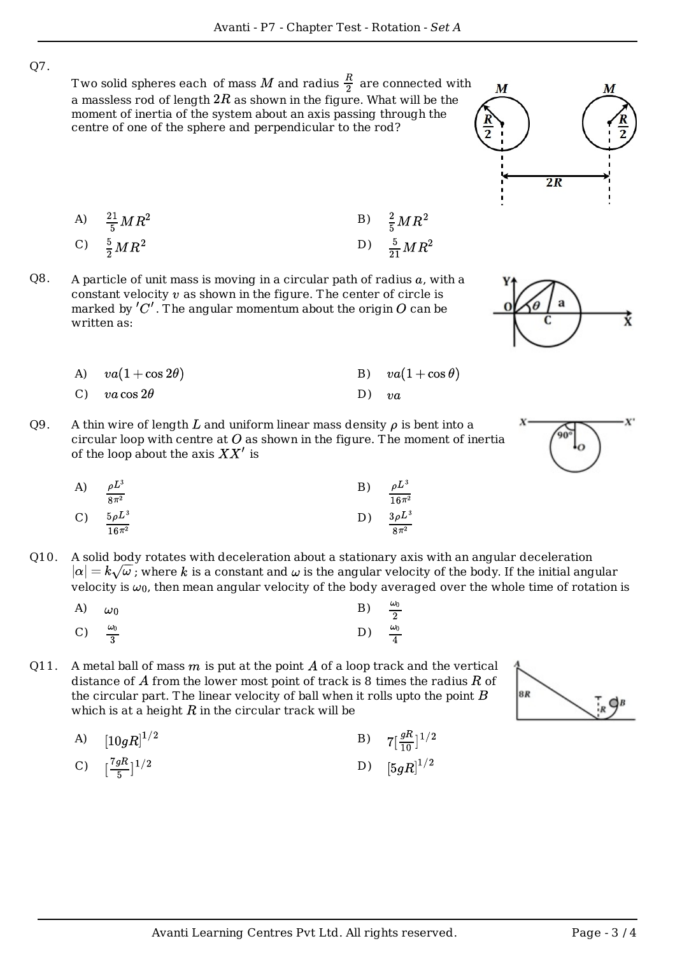Q7.

Two solid spheres each of mass M and radius  $\frac{R}{2}$  are connected with a massless rod of length  $2R$  as shown in the figure. What will be the moment of inertia of the system about an axis passing through the centre of one of the sphere and perpendicular to the rod?

A) 
$$
\frac{21}{5}MR^2
$$
  
\nB)  $\frac{2}{5}MR^2$   
\nC)  $\frac{5}{2}MR^2$   
\nD)  $\frac{5}{21}MR^2$ 

A particle of unit mass is moving in a circular path of radius  $a$ , with a constant velocity  $v$  as shown in the figure. The center of circle is marked by  $'C'$ . The angular momentum about the origin O can be written as: Q8.

| A) $va(1+\cos 2\theta)$ |         | B) $va(1+\cos\theta)$ |
|-------------------------|---------|-----------------------|
| C) $va \cos 2\theta$    | D) $va$ |                       |

A thin wire of length L and uniform linear mass density  $\rho$  is bent into a circular loop with centre at  $O$  as shown in the figure. The moment of inertia of the loop about the axis  $XX'$  is Q9.

A) 
$$
\frac{\rho L^3}{8\pi^2}
$$
 \t\t B)  $\frac{\rho L^3}{16\pi^2}$   
\nC)  $\frac{5\rho L^3}{16\pi^2}$  \t\t D)  $\frac{3\rho L^3}{8\pi^2}$ 

- A solid body rotates with deceleration about a stationary axis with an angular deceleration  $|\alpha| = k\sqrt{\omega}$ ; where k is a constant and  $\omega$  is the angular velocity of the body. If the initial angular velocity is  $\omega_0$ , then mean angular velocity of the body averaged over the whole time of rotation is Q10.
	- A)  $\omega_0$  B) C)  $\frac{\omega_0}{2}$  D)
- A metal ball of mass  $m$  is put at the point  $A$  of a loop track and the vertical distance of A from the lower most point of track is 8 times the radius  $R$  of the circular part. The linear velocity of ball when it rolls upto the point  $B$ which is at a height  $R$  in the circular track will be Q11.
	- A)  $[10gR]^{1/2}$  B)  $7[\frac{gR}{10}]^{1/2}$

C) 
$$
\left[\frac{7gR}{5}\right]^{1/2}
$$
 D)  $\left[5gR\right]^{1/2}$